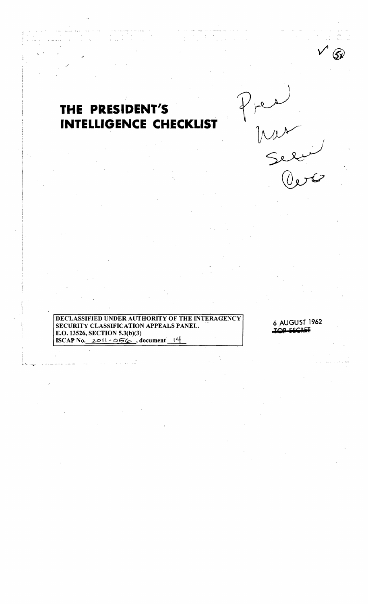## THE PRESIDENT'S **INTELLIGENCE CHECKLIST**

**UNDER AUTHORITY OF THE INTERAGENCY DECLASSIFIED** SECURITY CLASSIFICATION APPEALS PANEL. E.O. 13526, SECTION 5.3(b)(3) ISCAP No.  $2011 - 056$ , document 14

6 AUGUST 1962 **OD CECOL**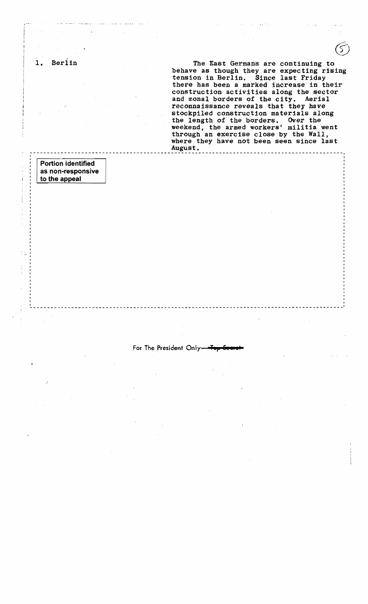1. Berlin The East Germans are continuing to behave as though they are expecting rising tension in Berlin. Since last Friday there has been a marked increase in their construction activities along the sector and zonal borders of the city. Aerial reconnaissance reveals that they have stockpiled construction materials along the length of the borders. Over the weekend, the armed workers' militia went through an exercise close by the Wall, where they have not been seen since last<br>August. August. -----------------------------------------------------------.-----------------.------------- <sup>I</sup> Portion identified as non-responsive to the appeal .. I I I I I I . I I For The President Only-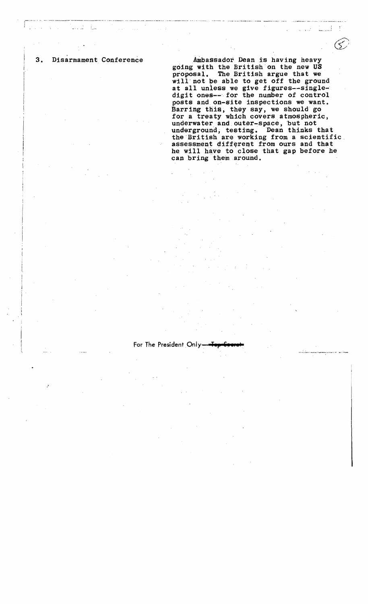$\mathbf{I}$ : I I

3. Disarmament Conference Ambassador Dean is having heavy going with the British on the new US proposal. The British argue that we will'not be able to get off the ground at all unless we give figures--singledigit ones--for the number of control posts and on-site inspections we want. Barring this, they say, we should go for a treaty which covers atmospheric, underwater and outer-space, but not underground, testing. Dean thinks that the British are working from a scientific assessment different from ours and that he will have to close that gap before he can bring them around.

ا السيط

For The President Only-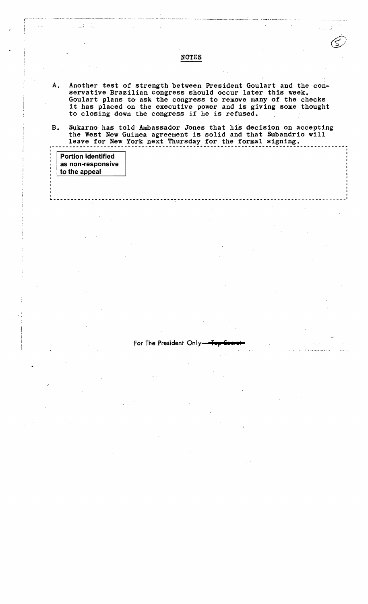A. Another test of strength between President Goulart and the conservative Brazilian congress should occur later this week. Goulart plans to' ask the congress to remove many of the checks it has placed on the executive power and is giving some thought to closing down the congress if he is refused.

B. Sukarno has told Ambassador Jones that his decision on accepting the West New Guinea agreement is solid and that Subandrio will leave for New York next Thursday for the formal signing.

| <b>Portion identified</b><br>as non-responsive '<br>to the appeal |  |  |
|-------------------------------------------------------------------|--|--|
|                                                                   |  |  |
|                                                                   |  |  |

For The President Only

## NOTES

f~ ~.~. - .. ,